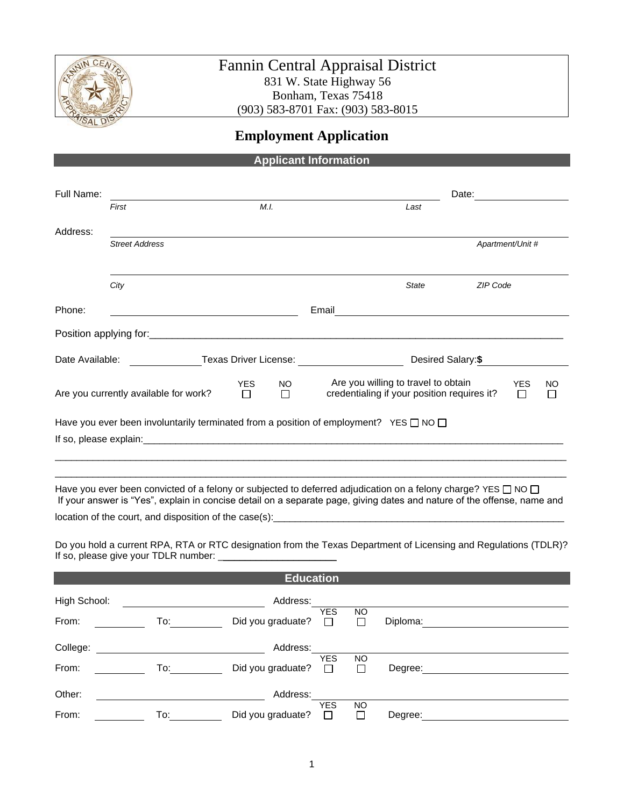

# Fannin Central Appraisal District 831 W. State Highway 56 Bonham, Texas 75418 (903) 583-8701 Fax: (903) 583-8015

# **Employment Application**

# **Applicant Information**

| Full Name:                                                    |                                                                                                                                                                                                                                                    |                                                                                                                      |                                                                                                                  |                     |                                                       | Date:    |                  |  |
|---------------------------------------------------------------|----------------------------------------------------------------------------------------------------------------------------------------------------------------------------------------------------------------------------------------------------|----------------------------------------------------------------------------------------------------------------------|------------------------------------------------------------------------------------------------------------------|---------------------|-------------------------------------------------------|----------|------------------|--|
|                                                               | First                                                                                                                                                                                                                                              | M.I.                                                                                                                 |                                                                                                                  |                     | Last                                                  |          |                  |  |
| Address:                                                      |                                                                                                                                                                                                                                                    |                                                                                                                      |                                                                                                                  |                     |                                                       |          |                  |  |
|                                                               | <b>Street Address</b>                                                                                                                                                                                                                              |                                                                                                                      |                                                                                                                  |                     |                                                       |          | Apartment/Unit # |  |
|                                                               |                                                                                                                                                                                                                                                    |                                                                                                                      |                                                                                                                  |                     |                                                       |          |                  |  |
|                                                               | City                                                                                                                                                                                                                                               |                                                                                                                      |                                                                                                                  |                     | State                                                 | ZIP Code |                  |  |
| Phone:                                                        |                                                                                                                                                                                                                                                    | <u> 1980 - Johann Barn, mars ann an t-Amhain Aonaich an t-Aonaich an t-Aonaich ann an t-Aonaich ann an t-Aonaich</u> | Email                                                                                                            |                     | <u> 1989 - Johann Stein, fransk politik (d. 1989)</u> |          |                  |  |
|                                                               |                                                                                                                                                                                                                                                    |                                                                                                                      |                                                                                                                  |                     |                                                       |          |                  |  |
| Date Available:                                               |                                                                                                                                                                                                                                                    |                                                                                                                      | Texas Driver License: _____________________<br>Desired Salary:\$                                                 |                     |                                                       |          |                  |  |
| <b>YES</b><br>Are you currently available for work?<br>$\Box$ |                                                                                                                                                                                                                                                    | <b>NO</b><br>П                                                                                                       | Are you willing to travel to obtain<br><b>YES</b><br>credentialing if your position requires it?<br>$\mathbf{I}$ |                     |                                                       | NO       |                  |  |
|                                                               | Have you ever been involuntarily terminated from a position of employment? YES $\square$ NO $\square$                                                                                                                                              |                                                                                                                      |                                                                                                                  |                     |                                                       |          |                  |  |
|                                                               |                                                                                                                                                                                                                                                    |                                                                                                                      |                                                                                                                  |                     |                                                       |          |                  |  |
|                                                               |                                                                                                                                                                                                                                                    |                                                                                                                      |                                                                                                                  |                     |                                                       |          |                  |  |
|                                                               | Have you ever been convicted of a felony or subjected to deferred adjudication on a felony charge? YES $\Box$ NO $\Box$<br>If your answer is "Yes", explain in concise detail on a separate page, giving dates and nature of the offense, name and |                                                                                                                      |                                                                                                                  |                     |                                                       |          |                  |  |
|                                                               |                                                                                                                                                                                                                                                    |                                                                                                                      |                                                                                                                  |                     |                                                       |          |                  |  |
|                                                               | Do you hold a current RPA, RTA or RTC designation from the Texas Department of Licensing and Regulations (TDLR)?                                                                                                                                   |                                                                                                                      |                                                                                                                  |                     |                                                       |          |                  |  |
|                                                               |                                                                                                                                                                                                                                                    | <b>Education</b>                                                                                                     |                                                                                                                  |                     |                                                       |          |                  |  |
| High School:                                                  |                                                                                                                                                                                                                                                    | Address:                                                                                                             |                                                                                                                  |                     |                                                       |          |                  |  |
| From:                                                         | To: $\qquad \qquad \qquad \qquad$                                                                                                                                                                                                                  | Did you graduate?                                                                                                    | <b>YES</b><br>П                                                                                                  | <b>NO</b><br>$\Box$ | Diploma:                                              |          |                  |  |
| College:                                                      |                                                                                                                                                                                                                                                    | Address:                                                                                                             | <b>YES</b>                                                                                                       | <b>NO</b>           |                                                       |          |                  |  |

| Other: |      | Address:          |     |           |         |  |
|--------|------|-------------------|-----|-----------|---------|--|
|        |      |                   | YES | <b>NO</b> |         |  |
| From:  | l o: | Did you graduate? |     |           | Degree: |  |

Degree:

From: To: Did you graduate?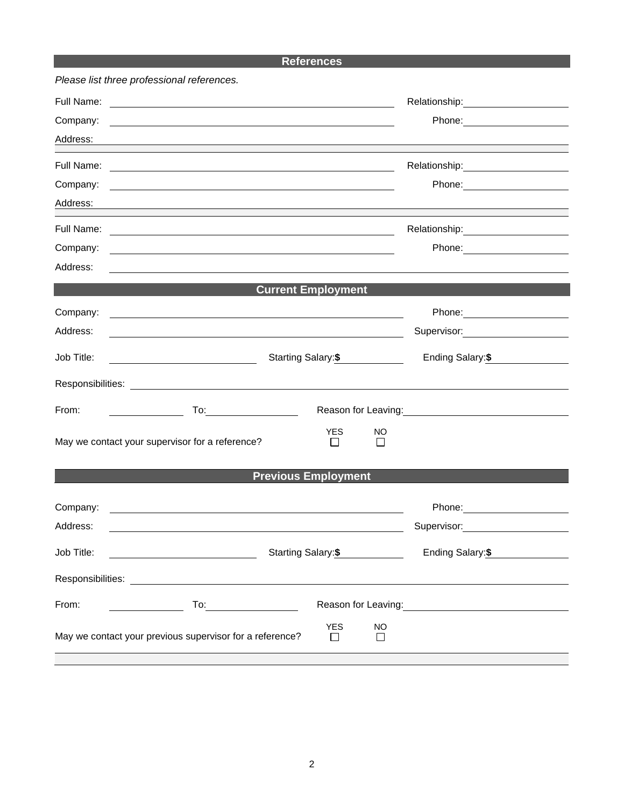### **References**

|            | Please list three professional references.                                                                              |                            |                    |                                                                                                                                                                                                                                |  |
|------------|-------------------------------------------------------------------------------------------------------------------------|----------------------------|--------------------|--------------------------------------------------------------------------------------------------------------------------------------------------------------------------------------------------------------------------------|--|
|            |                                                                                                                         |                            |                    | Relationship: Network of the state of the state of the state of the state of the state of the state of the state of the state of the state of the state of the state of the state of the state of the state of the state of th |  |
| Company:   |                                                                                                                         |                            |                    |                                                                                                                                                                                                                                |  |
| Address:   | ,我们也不会有什么。""我们的人,我们也不会有什么?""我们的人,我们也不会有什么?""我们的人,我们也不会有什么?""我们的人,我们也不会有什么?""我们的人                                        |                            |                    |                                                                                                                                                                                                                                |  |
| Full Name: |                                                                                                                         |                            |                    |                                                                                                                                                                                                                                |  |
| Company:   | <u>some started and the started and the started and the started and the started and the started and the started and</u> |                            |                    |                                                                                                                                                                                                                                |  |
| Address:   |                                                                                                                         |                            |                    |                                                                                                                                                                                                                                |  |
| Full Name: | <u> 1989 - Johann Barn, fransk politik (d. 1989)</u>                                                                    |                            |                    |                                                                                                                                                                                                                                |  |
| Company:   |                                                                                                                         |                            |                    |                                                                                                                                                                                                                                |  |
| Address:   |                                                                                                                         |                            |                    |                                                                                                                                                                                                                                |  |
|            | <b>Current Employment</b>                                                                                               |                            |                    |                                                                                                                                                                                                                                |  |
| Company:   | <u> 1989 - Johann Stoff, deutscher Stoffen und der Stoffen und der Stoffen und der Stoffen und der Stoffen und der</u>  |                            |                    |                                                                                                                                                                                                                                |  |
| Address:   |                                                                                                                         |                            |                    | Supervisor: 2000                                                                                                                                                                                                               |  |
| Job Title: | <u> 1980 - Johann Barbara, martin amerikan basar da</u>                                                                 |                            | Starting Salary:\$ | Ending Salary: \$                                                                                                                                                                                                              |  |
|            |                                                                                                                         |                            |                    |                                                                                                                                                                                                                                |  |
| From:      | $To: \underline{\hspace{2.5cm}}$<br>$\mathcal{L} = \{ \mathcal{L} \in \mathcal{L} \mid \mathcal{L} \in \mathcal{L} \}$  |                            |                    | Reason for Leaving:<br><u>Example 2008</u>                                                                                                                                                                                     |  |
|            | May we contact your supervisor for a reference?                                                                         | <b>YES</b><br>$\mathsf{L}$ | NO.<br>$\perp$     |                                                                                                                                                                                                                                |  |
|            | <b>Previous Employment</b>                                                                                              |                            |                    |                                                                                                                                                                                                                                |  |
| Company:   | <u> 1989 - Johann John Stoff, deutscher Stoffen und der Stoffen und der Stoffen und der Stoffen und der Stoffen un</u>  |                            |                    |                                                                                                                                                                                                                                |  |
| Address:   |                                                                                                                         |                            |                    | Supervisor: 2000                                                                                                                                                                                                               |  |
| Job Title: | <u> 1990 - Johann Barbara, martin a</u>                                                                                 | Starting Salary:\$         |                    | Ending Salary:\$                                                                                                                                                                                                               |  |
|            |                                                                                                                         |                            |                    |                                                                                                                                                                                                                                |  |
| From:      |                                                                                                                         |                            |                    | Reason for Leaving: Management Control of Reason for Leaving:                                                                                                                                                                  |  |
|            | May we contact your previous supervisor for a reference?                                                                | <b>YES</b><br>l 1          | <b>NO</b><br>П     |                                                                                                                                                                                                                                |  |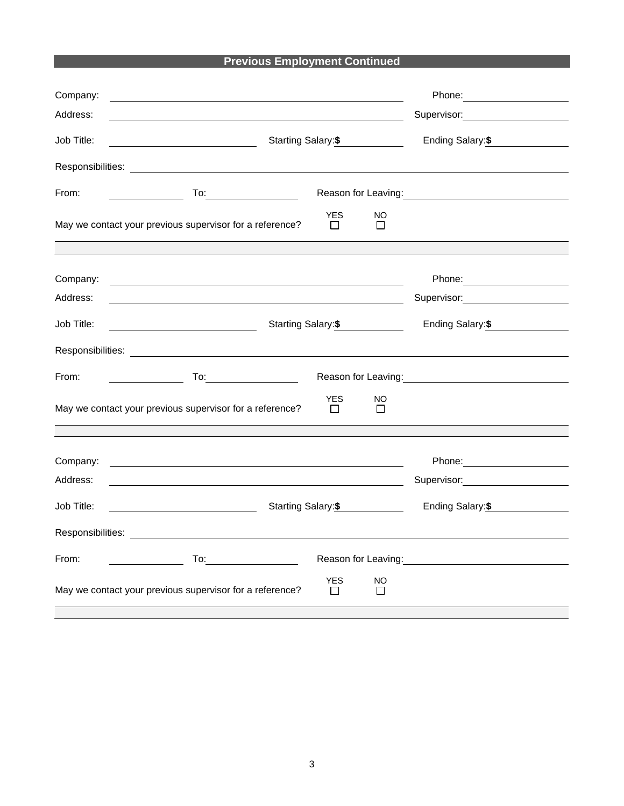# **Previous Employment Continued**

| Company:<br>Address: | and the control of the control of the control of the control of the control of the control of the control of the                                                                                                                                                                                                                                                                                                                                                                                                                                      |                       |                     | Supervisor: Victor Control of Control Control Control Control Control Control Control Control Control Control Co                                                                                                                      |  |
|----------------------|-------------------------------------------------------------------------------------------------------------------------------------------------------------------------------------------------------------------------------------------------------------------------------------------------------------------------------------------------------------------------------------------------------------------------------------------------------------------------------------------------------------------------------------------------------|-----------------------|---------------------|---------------------------------------------------------------------------------------------------------------------------------------------------------------------------------------------------------------------------------------|--|
| Job Title:           |                                                                                                                                                                                                                                                                                                                                                                                                                                                                                                                                                       |                       | Starting Salary: \$ | Ending Salary: \$                                                                                                                                                                                                                     |  |
|                      |                                                                                                                                                                                                                                                                                                                                                                                                                                                                                                                                                       |                       |                     |                                                                                                                                                                                                                                       |  |
| From:                | <u>and the community of the community</u>                                                                                                                                                                                                                                                                                                                                                                                                                                                                                                             |                       |                     | Reason for Leaving:<br><u>Next and the substitution of the substitution</u> of the substitution of the substitution of the substitution of the substitution of the substitution of the substitution of the substitution of the substi |  |
|                      | May we contact your previous supervisor for a reference?                                                                                                                                                                                                                                                                                                                                                                                                                                                                                              | <b>YES</b><br>$\perp$ | NO<br>$\perp$       |                                                                                                                                                                                                                                       |  |
|                      |                                                                                                                                                                                                                                                                                                                                                                                                                                                                                                                                                       |                       |                     |                                                                                                                                                                                                                                       |  |
| Company:             | <u> 1989 - Johann Stoff, deutscher Stoffen und der Stoffen und der Stoffen und der Stoffen und der Stoffen und der</u>                                                                                                                                                                                                                                                                                                                                                                                                                                |                       |                     |                                                                                                                                                                                                                                       |  |
| Address:             | <u> 1989 - Johann Stoff, Amerikaansk politiker († 1908)</u>                                                                                                                                                                                                                                                                                                                                                                                                                                                                                           |                       |                     | Supervisor: Victor Control of Supervisor Control Control Control Control Control Control Control Control Control Control Control Control Control Control Control Control Control Control Control Control Control Control Contr        |  |
| Job Title:           |                                                                                                                                                                                                                                                                                                                                                                                                                                                                                                                                                       |                       | Starting Salary: \$ | Ending Salary: \$                                                                                                                                                                                                                     |  |
|                      |                                                                                                                                                                                                                                                                                                                                                                                                                                                                                                                                                       |                       |                     |                                                                                                                                                                                                                                       |  |
| From:                | $\begin{array}{c} \begin{array}{c} \begin{array}{c} \begin{array}{c} \end{array} \\ \begin{array}{c} \end{array} \end{array} \end{array} \end{array} \end{array} \end{array} \end{array} \begin{array}{c} \begin{array}{c} \begin{array}{c} \end{array} \\ \begin{array}{c} \end{array} \end{array} \end{array} \begin{array}{c} \begin{array}{c} \end{array} \end{array} \end{array} \end{array} \begin{array}{c} \begin{array}{c} \begin{array}{c} \end{array} \end{array} \end{array} \begin{array}{c} \begin{array}{c} \end{array} \end{array} \$ |                       |                     | Reason for Leaving:<br><u>Next and the substitution of the substitution</u> of the substitution of the substitution of the substitution of the substitution of the substitution of the substitution of the substitution of the substi |  |
|                      | May we contact your previous supervisor for a reference?                                                                                                                                                                                                                                                                                                                                                                                                                                                                                              | <b>YES</b><br>$\Box$  | <b>NO</b><br>$\Box$ |                                                                                                                                                                                                                                       |  |
|                      |                                                                                                                                                                                                                                                                                                                                                                                                                                                                                                                                                       |                       |                     |                                                                                                                                                                                                                                       |  |
| Company:             | <u> 1989 - Johann Barbara, martin amerikan basar dan berasal dan berasal dalam basar dalam basar dalam basar dala</u>                                                                                                                                                                                                                                                                                                                                                                                                                                 |                       |                     | Phone: National Contract of the Contract of the Contract of the Contract of the Contract of the Contract of the Contract of the Contract of the Contract of the Contract of the Contract of the Contract of the Contract of th        |  |
| Address:             | <u> 1989 - Johann Stoff, amerikansk politiker (d. 1989)</u>                                                                                                                                                                                                                                                                                                                                                                                                                                                                                           |                       |                     | Supervisor: 2000                                                                                                                                                                                                                      |  |
| Job Title:           |                                                                                                                                                                                                                                                                                                                                                                                                                                                                                                                                                       |                       | Starting Salary: \$ | Ending Salary: \$                                                                                                                                                                                                                     |  |
|                      |                                                                                                                                                                                                                                                                                                                                                                                                                                                                                                                                                       |                       |                     |                                                                                                                                                                                                                                       |  |
| From:                |                                                                                                                                                                                                                                                                                                                                                                                                                                                                                                                                                       |                       |                     | Reason for Leaving: Note and the set of the set of the set of the set of the set of the set of the set of the set of the set of the set of the set of the set of the set of the set of the set of the set of the set of the se        |  |
|                      | May we contact your previous supervisor for a reference?                                                                                                                                                                                                                                                                                                                                                                                                                                                                                              | <b>YES</b><br>П       | NO.<br>$\Box$       |                                                                                                                                                                                                                                       |  |